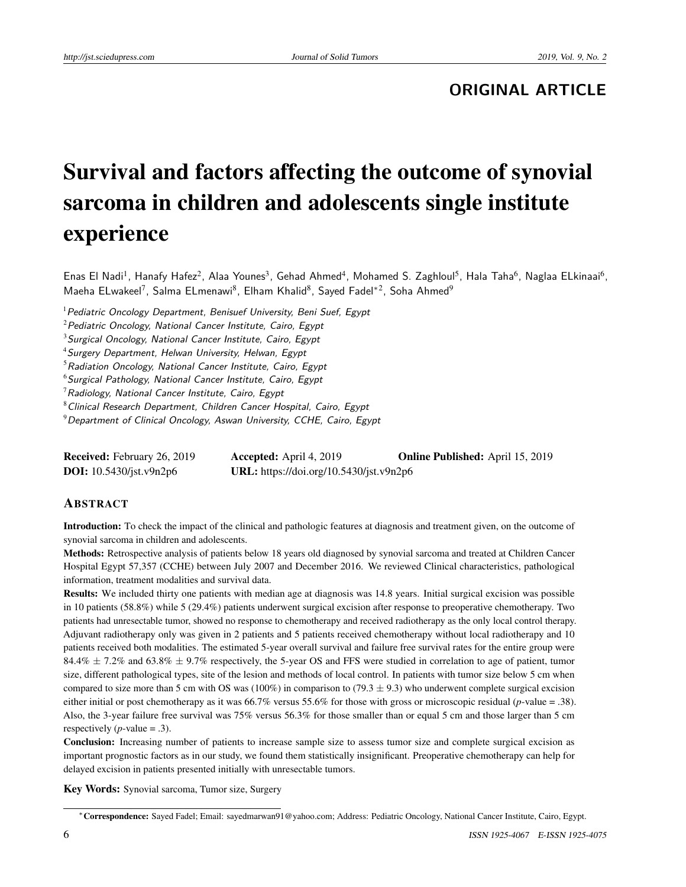# **ORIGINAL ARTICLE**

# Survival and factors affecting the outcome of synovial sarcoma in children and adolescents single institute experience

Enas El Nadi<sup>1</sup>, Hanafy Hafez<sup>2</sup>, Alaa Younes<sup>3</sup>, Gehad Ahmed<sup>4</sup>, Mohamed S. Zaghloul<sup>5</sup>, Hala Taha<sup>6</sup>, Naglaa ELkinaai<sup>6</sup>, Maeha ELwakeel<sup>7</sup>, Salma ELmenawi<sup>8</sup>, Elham Khalid<sup>8</sup>, Sayed Fadel\*<sup>2</sup>, Soha Ahmed<sup>9</sup>

 $1$  Pediatric Oncology Department, Benisuef University, Beni Suef, Egypt

 $2$ Pediatric Oncology, National Cancer Institute, Cairo, Egypt

 $3$  Surgical Oncology, National Cancer Institute, Cairo, Egypt

<sup>4</sup> Surgery Department, Helwan University, Helwan, Egypt

 $5$ Radiation Oncology, National Cancer Institute, Cairo, Egypt

 $6$ Surgical Pathology, National Cancer Institute, Cairo, Egypt

 $7$ Radiology, National Cancer Institute, Cairo, Egypt

<sup>8</sup> Clinical Research Department, Children Cancer Hospital, Cairo, Egypt

 $9$  Department of Clinical Oncology, Aswan University, CCHE, Cairo, Egypt

| <b>Received:</b> February 26, 2019 | <b>Accepted:</b> April 4, 2019          | <b>Online Published:</b> April 15, 2019 |
|------------------------------------|-----------------------------------------|-----------------------------------------|
| <b>DOI:</b> 10.5430/jst.v9n2p6     | URL: https://doi.org/10.5430/jst.v9n2p6 |                                         |

# **ABSTRACT**

Introduction: To check the impact of the clinical and pathologic features at diagnosis and treatment given, on the outcome of synovial sarcoma in children and adolescents.

Methods: Retrospective analysis of patients below 18 years old diagnosed by synovial sarcoma and treated at Children Cancer Hospital Egypt 57,357 (CCHE) between July 2007 and December 2016. We reviewed Clinical characteristics, pathological information, treatment modalities and survival data.

Results: We included thirty one patients with median age at diagnosis was 14.8 years. Initial surgical excision was possible in 10 patients (58.8%) while 5 (29.4%) patients underwent surgical excision after response to preoperative chemotherapy. Two patients had unresectable tumor, showed no response to chemotherapy and received radiotherapy as the only local control therapy. Adjuvant radiotherapy only was given in 2 patients and 5 patients received chemotherapy without local radiotherapy and 10 patients received both modalities. The estimated 5-year overall survival and failure free survival rates for the entire group were 84.4%  $\pm$  7.2% and 63.8%  $\pm$  9.7% respectively, the 5-year OS and FFS were studied in correlation to age of patient, tumor size, different pathological types, site of the lesion and methods of local control. In patients with tumor size below 5 cm when compared to size more than 5 cm with OS was (100%) in comparison to (79.3  $\pm$  9.3) who underwent complete surgical excision either initial or post chemotherapy as it was 66.7% versus 55.6% for those with gross or microscopic residual (*p*-value = .38). Also, the 3-year failure free survival was 75% versus 56.3% for those smaller than or equal 5 cm and those larger than 5 cm respectively  $(p$ -value = .3).

Conclusion: Increasing number of patients to increase sample size to assess tumor size and complete surgical excision as important prognostic factors as in our study, we found them statistically insignificant. Preoperative chemotherapy can help for delayed excision in patients presented initially with unresectable tumors.

Key Words: Synovial sarcoma, Tumor size, Surgery

<sup>∗</sup>Correspondence: Sayed Fadel; Email: sayedmarwan91@yahoo.com; Address: Pediatric Oncology, National Cancer Institute, Cairo, Egypt.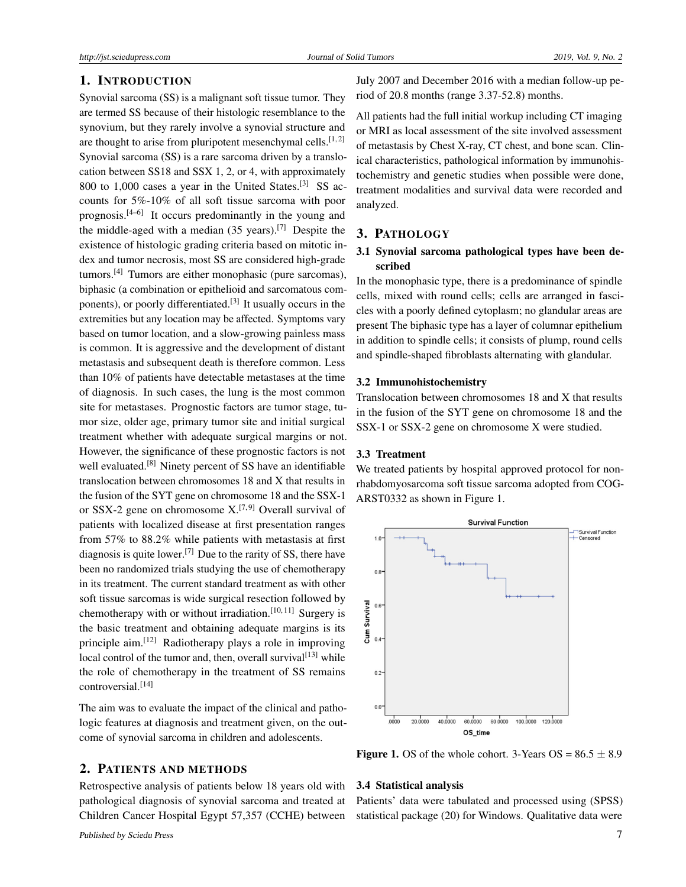# 1. INTRODUCTION

Synovial sarcoma (SS) is a malignant soft tissue tumor. They are termed SS because of their histologic resemblance to the synovium, but they rarely involve a synovial structure and are thought to arise from pluripotent mesenchymal cells.<sup>[\[1,](#page-4-0)[2\]](#page-4-1)</sup> Synovial sarcoma (SS) is a rare sarcoma driven by a translocation between SS18 and SSX 1, 2, or 4, with approximately 800 to 1,000 cases a year in the United States.<sup>[\[3\]](#page-4-2)</sup> SS accounts for 5%-10% of all soft tissue sarcoma with poor prognosis.[\[4–](#page-4-3)[6\]](#page-4-4) It occurs predominantly in the young and the middle-aged with a median (35 years).[\[7\]](#page-4-5) Despite the existence of histologic grading criteria based on mitotic index and tumor necrosis, most SS are considered high-grade tumors.[\[4\]](#page-4-3) Tumors are either monophasic (pure sarcomas), biphasic (a combination or epithelioid and sarcomatous com-ponents), or poorly differentiated.<sup>[\[3\]](#page-4-2)</sup> It usually occurs in the extremities but any location may be affected. Symptoms vary based on tumor location, and a slow-growing painless mass is common. It is aggressive and the development of distant metastasis and subsequent death is therefore common. Less than 10% of patients have detectable metastases at the time of diagnosis. In such cases, the lung is the most common site for metastases. Prognostic factors are tumor stage, tumor size, older age, primary tumor site and initial surgical treatment whether with adequate surgical margins or not. However, the significance of these prognostic factors is not well evaluated.<sup>[\[8\]](#page-4-6)</sup> Ninety percent of SS have an identifiable translocation between chromosomes 18 and X that results in the fusion of the SYT gene on chromosome 18 and the SSX-1 or SSX-2 gene on chromosome  $X$ <sup>[\[7,](#page-4-5)[9\]](#page-4-7)</sup> Overall survival of patients with localized disease at first presentation ranges from 57% to 88.2% while patients with metastasis at first diagnosis is quite lower.<sup>[\[7\]](#page-4-5)</sup> Due to the rarity of SS, there have been no randomized trials studying the use of chemotherapy in its treatment. The current standard treatment as with other soft tissue sarcomas is wide surgical resection followed by chemotherapy with or without irradiation.<sup>[\[10,](#page-4-8) [11\]](#page-4-9)</sup> Surgery is the basic treatment and obtaining adequate margins is its principle aim.[\[12\]](#page-4-10) Radiotherapy plays a role in improving local control of the tumor and, then, overall survival $[13]$  while the role of chemotherapy in the treatment of SS remains controversial.[\[14\]](#page-4-12)

The aim was to evaluate the impact of the clinical and pathologic features at diagnosis and treatment given, on the outcome of synovial sarcoma in children and adolescents.

#### 2. PATIENTS AND METHODS

Retrospective analysis of patients below 18 years old with pathological diagnosis of synovial sarcoma and treated at Children Cancer Hospital Egypt 57,357 (CCHE) between

July 2007 and December 2016 with a median follow-up period of 20.8 months (range 3.37-52.8) months.

All patients had the full initial workup including CT imaging or MRI as local assessment of the site involved assessment of metastasis by Chest X-ray, CT chest, and bone scan. Clinical characteristics, pathological information by immunohistochemistry and genetic studies when possible were done, treatment modalities and survival data were recorded and analyzed.

# 3. PATHOLOGY

# 3.1 Synovial sarcoma pathological types have been described

In the monophasic type, there is a predominance of spindle cells, mixed with round cells; cells are arranged in fascicles with a poorly defined cytoplasm; no glandular areas are present The biphasic type has a layer of columnar epithelium in addition to spindle cells; it consists of plump, round cells and spindle-shaped fibroblasts alternating with glandular.

#### 3.2 Immunohistochemistry

Translocation between chromosomes 18 and X that results in the fusion of the SYT gene on chromosome 18 and the SSX-1 or SSX-2 gene on chromosome X were studied.

# 3.3 Treatment

We treated patients by hospital approved protocol for nonrhabdomyosarcoma soft tissue sarcoma adopted from COG-ARST0332 as shown in Figure 1.



**Figure 1.** OS of the whole cohort. 3-Years  $OS = 86.5 \pm 8.9$ 

#### 3.4 Statistical analysis

Patients' data were tabulated and processed using (SPSS) statistical package (20) for Windows. Qualitative data were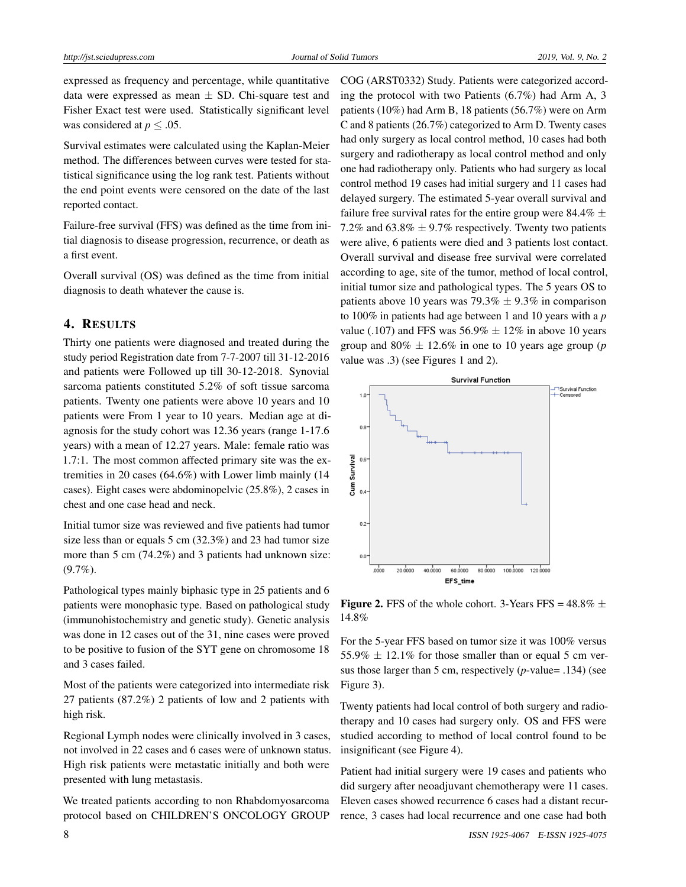expressed as frequency and percentage, while quantitative data were expressed as mean  $\pm$  SD. Chi-square test and Fisher Exact test were used. Statistically significant level was considered at  $p < .05$ .

Survival estimates were calculated using the Kaplan-Meier method. The differences between curves were tested for statistical significance using the log rank test. Patients without the end point events were censored on the date of the last reported contact.

Failure-free survival (FFS) was defined as the time from initial diagnosis to disease progression, recurrence, or death as a first event.

Overall survival (OS) was defined as the time from initial diagnosis to death whatever the cause is.

# 4. RESULTS

Thirty one patients were diagnosed and treated during the study period Registration date from 7-7-2007 till 31-12-2016 and patients were Followed up till 30-12-2018. Synovial sarcoma patients constituted 5.2% of soft tissue sarcoma patients. Twenty one patients were above 10 years and 10 patients were From 1 year to 10 years. Median age at diagnosis for the study cohort was 12.36 years (range 1-17.6 years) with a mean of 12.27 years. Male: female ratio was 1.7:1. The most common affected primary site was the extremities in 20 cases (64.6%) with Lower limb mainly (14 cases). Eight cases were abdominopelvic (25.8%), 2 cases in chest and one case head and neck.

Initial tumor size was reviewed and five patients had tumor size less than or equals 5 cm (32.3%) and 23 had tumor size more than 5 cm (74.2%) and 3 patients had unknown size: (9.7%).

Pathological types mainly biphasic type in 25 patients and 6 patients were monophasic type. Based on pathological study (immunohistochemistry and genetic study). Genetic analysis was done in 12 cases out of the 31, nine cases were proved to be positive to fusion of the SYT gene on chromosome 18 and 3 cases failed.

Most of the patients were categorized into intermediate risk 27 patients (87.2%) 2 patients of low and 2 patients with high risk.

Regional Lymph nodes were clinically involved in 3 cases, not involved in 22 cases and 6 cases were of unknown status. High risk patients were metastatic initially and both were presented with lung metastasis.

We treated patients according to non Rhabdomyosarcoma protocol based on CHILDREN'S ONCOLOGY GROUP COG (ARST0332) Study. Patients were categorized according the protocol with two Patients (6.7%) had Arm A, 3 patients (10%) had Arm B, 18 patients (56.7%) were on Arm C and 8 patients (26.7%) categorized to Arm D. Twenty cases had only surgery as local control method, 10 cases had both surgery and radiotherapy as local control method and only one had radiotherapy only. Patients who had surgery as local control method 19 cases had initial surgery and 11 cases had delayed surgery. The estimated 5-year overall survival and failure free survival rates for the entire group were 84.4%  $\pm$ 7.2% and  $63.8\% \pm 9.7\%$  respectively. Twenty two patients were alive, 6 patients were died and 3 patients lost contact. Overall survival and disease free survival were correlated according to age, site of the tumor, method of local control, initial tumor size and pathological types. The 5 years OS to patients above 10 years was 79.3%  $\pm$  9.3% in comparison to 100% in patients had age between 1 and 10 years with a *p* value (.107) and FFS was  $56.9\% \pm 12\%$  in above 10 years group and  $80\% \pm 12.6\%$  in one to 10 years age group (*p* value was .3) (see Figures 1 and 2).



**Figure 2.** FFS of the whole cohort. 3-Years FFS =  $48.8\% \pm$ 14.8%

For the 5-year FFS based on tumor size it was 100% versus 55.9%  $\pm$  12.1% for those smaller than or equal 5 cm versus those larger than 5 cm, respectively (*p*-value= .134) (see Figure 3).

Twenty patients had local control of both surgery and radiotherapy and 10 cases had surgery only. OS and FFS were studied according to method of local control found to be insignificant (see Figure 4).

Patient had initial surgery were 19 cases and patients who did surgery after neoadjuvant chemotherapy were 11 cases. Eleven cases showed recurrence 6 cases had a distant recurrence, 3 cases had local recurrence and one case had both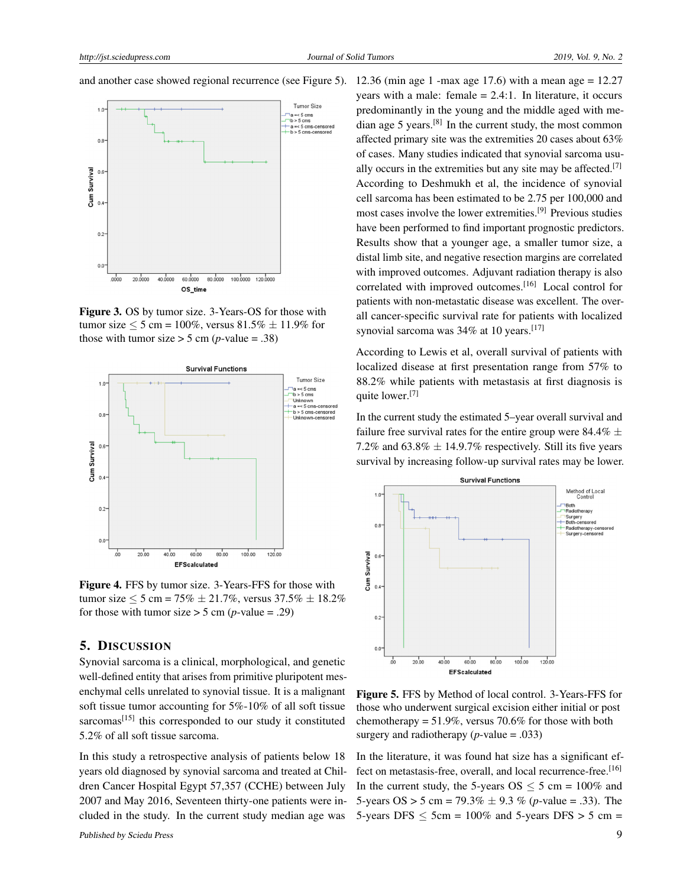and another case showed regional recurrence (see Figure 5).



Figure 3. OS by tumor size. 3-Years-OS for those with tumor size  $\le 5$  cm = 100%, versus 81.5%  $\pm$  11.9% for those with tumor size  $>$  5 cm (*p*-value = .38)



Figure 4. FFS by tumor size. 3-Years-FFS for those with tumor size  $\le 5$  cm = 75%  $\pm$  21.7%, versus 37.5%  $\pm$  18.2% for those with tumor size  $>$  5 cm (*p*-value = .29)

# 5. DISCUSSION

Synovial sarcoma is a clinical, morphological, and genetic well-defined entity that arises from primitive pluripotent mesenchymal cells unrelated to synovial tissue. It is a malignant soft tissue tumor accounting for 5%-10% of all soft tissue sarcomas<sup>[\[15\]](#page-4-13)</sup> this corresponded to our study it constituted 5.2% of all soft tissue sarcoma.

In this study a retrospective analysis of patients below 18 years old diagnosed by synovial sarcoma and treated at Children Cancer Hospital Egypt 57,357 (CCHE) between July 2007 and May 2016, Seventeen thirty-one patients were included in the study. In the current study median age was

12.36 (min age 1 -max age 17.6) with a mean age = 12.27 years with a male: female  $= 2.4:1$ . In literature, it occurs predominantly in the young and the middle aged with me-dian age 5 years.<sup>[\[8\]](#page-4-6)</sup> In the current study, the most common affected primary site was the extremities 20 cases about 63% of cases. Many studies indicated that synovial sarcoma usu-ally occurs in the extremities but any site may be affected.<sup>[\[7\]](#page-4-5)</sup> According to Deshmukh et al, the incidence of synovial cell sarcoma has been estimated to be 2.75 per 100,000 and most cases involve the lower extremities.[\[9\]](#page-4-7) Previous studies have been performed to find important prognostic predictors. Results show that a younger age, a smaller tumor size, a distal limb site, and negative resection margins are correlated with improved outcomes. Adjuvant radiation therapy is also correlated with improved outcomes.<sup>[\[16\]](#page-4-14)</sup> Local control for patients with non-metastatic disease was excellent. The overall cancer-specific survival rate for patients with localized synovial sarcoma was 34% at 10 years.<sup>[\[17\]](#page-4-15)</sup>

According to Lewis et al, overall survival of patients with localized disease at first presentation range from 57% to 88.2% while patients with metastasis at first diagnosis is quite lower.<sup>[\[7\]](#page-4-5)</sup>

In the current study the estimated 5–year overall survival and failure free survival rates for the entire group were 84.4%  $\pm$ 7.2% and  $63.8\% \pm 14.9.7\%$  respectively. Still its five years survival by increasing follow-up survival rates may be lower.



Figure 5. FFS by Method of local control. 3-Years-FFS for those who underwent surgical excision either initial or post chemotherapy =  $51.9\%$ , versus 70.6% for those with both surgery and radiotherapy  $(p$ -value = .033)

In the literature, it was found hat size has a significant effect on metastasis-free, overall, and local recurrence-free.[\[16\]](#page-4-14) In the current study, the 5-years  $OS \le 5$  cm = 100% and 5-years  $OS > 5$  cm = 79.3%  $\pm$  9.3 % (*p*-value = .33). The 5-years DFS  $\le$  5cm = 100% and 5-years DFS  $>$  5 cm =